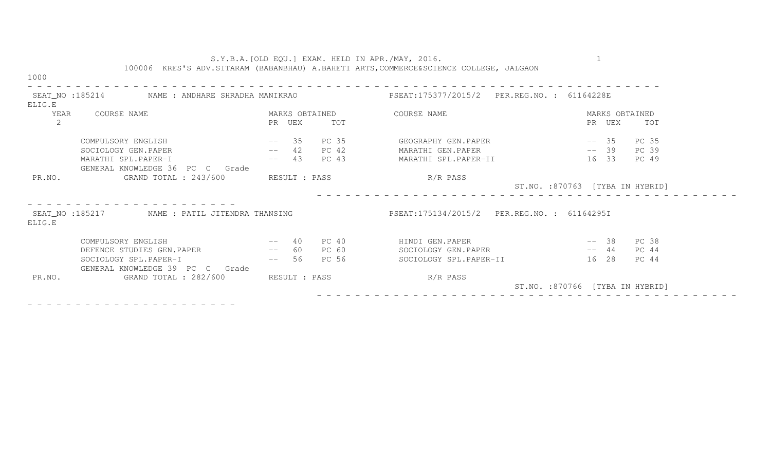|                                                          |                                                             |                   |                                            | S.Y.B.A. [OLD EQU.] EXAM. HELD IN APR./MAY, 2016.<br>100006 KRES'S ADV.SITARAM (BABANBHAU) A.BAHETI ARTS, COMMERCE&SCIENCE COLLEGE, JALGAON |                                  |  |  |
|----------------------------------------------------------|-------------------------------------------------------------|-------------------|--------------------------------------------|---------------------------------------------------------------------------------------------------------------------------------------------|----------------------------------|--|--|
| 1000                                                     |                                                             |                   |                                            |                                                                                                                                             |                                  |  |  |
| ELIG.E                                                   | SEAT_NO :185214             NAME : ANDHARE SHRADHA MANIKRAO |                   |                                            | PSEAT:175377/2015/2 PER.REG.NO.: 61164228E                                                                                                  |                                  |  |  |
| COURSE NAME<br>YEAR                                      |                                                             | MARKS OBTAINED    |                                            | COURSE NAME                                                                                                                                 | MARKS OBTAINED                   |  |  |
| $\mathbf{2}^{\prime}$                                    |                                                             | PR UEX            | TOT                                        |                                                                                                                                             | PR UEX<br>TOT                    |  |  |
|                                                          | $--$ 35<br>COMPULSORY ENGLISH                               |                   | PC 35                                      | GEOGRAPHY GEN.PAPER                                                                                                                         | $--$ 35<br>PC 35                 |  |  |
|                                                          | SOCIOLOGY GEN.PAPER                                         | $--$ 42 PC 42     |                                            | MARATHI GEN.PAPER                                                                                                                           | $--$ 39<br>PC 39                 |  |  |
|                                                          | MARATHI SPL.PAPER-I                                         | 43 PC 43<br>$---$ |                                            | MARATHI SPL.PAPER-II                                                                                                                        | 16 33<br>PC 49                   |  |  |
|                                                          | GENERAL KNOWLEDGE 36 PC C Grade                             |                   |                                            |                                                                                                                                             |                                  |  |  |
| PR.NO.                                                   | GRAND TOTAL : 243/600<br>RESULT : PASS                      |                   |                                            | R/R PASS<br>ST.NO. :870763 [TYBA IN HYBRID]                                                                                                 |                                  |  |  |
| SEAT_NO :185217 MAME : PATIL JITENDRA THANSING<br>ELIG.E |                                                             |                   | PSEAT:175134/2015/2 PER.REG.NO.: 61164295I |                                                                                                                                             |                                  |  |  |
|                                                          | and the contract of the contract of<br>COMPULSORY ENGLISH   | 40                | PC 40                                      | HINDI GEN.PAPER                                                                                                                             | $--38$<br>PC 38                  |  |  |
|                                                          | DEFENCE STUDIES GEN. PAPER --                               | 60                | PC 60                                      | SOCIOLOGY GEN.PAPER                                                                                                                         | $--\ 44$<br>PC 44                |  |  |
|                                                          | SOCIOLOGY SPL.PAPER-I<br>GENERAL KNOWLEDGE 39 PC C Grade    | $-- 56$ PC 56     |                                            | SOCIOLOGY SPL.PAPER-II                                                                                                                      | 16 28<br>PC 44                   |  |  |
| PR.NO.                                                   | GRAND TOTAL : 282/600                                       | RESULT : PASS     |                                            | R/R PASS                                                                                                                                    | ST.NO. : 870766 [TYBA IN HYBRID] |  |  |

- - - - - - - - - - - - - - - - - - - - - -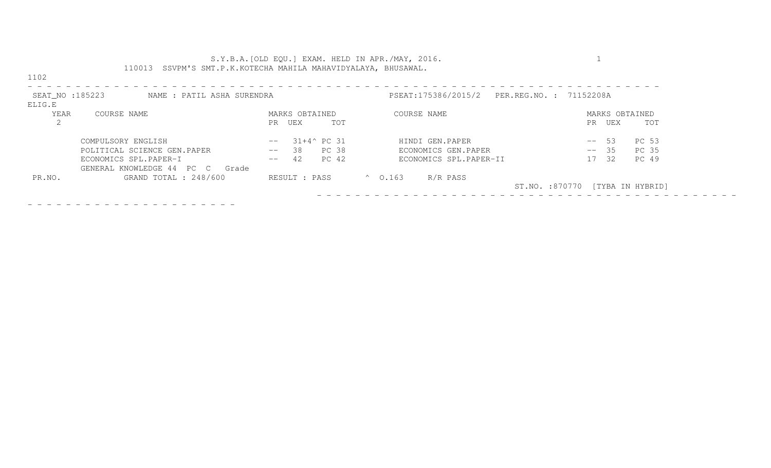|                                                          | S.Y.B.A. [OLD EQU.] EXAM. HELD IN APR./MAY, 2016.<br>110013 SSVPM'S SMT.P.K.KOTECHA MAHILA MAHAVIDYALAYA, BHUSAWAL. |                              |                                 |  |  |  |  |
|----------------------------------------------------------|---------------------------------------------------------------------------------------------------------------------|------------------------------|---------------------------------|--|--|--|--|
| 1102                                                     |                                                                                                                     |                              |                                 |  |  |  |  |
| SEAT_NO :185223<br>NAME : PATIL ASHA SURENDRA<br>ELIG.E  |                                                                                                                     | PSEAT:175386/2015/2          | PER.REG.NO. : 71152208A         |  |  |  |  |
| YEAR<br>COURSE NAME                                      | MARKS OBTAINED                                                                                                      | COURSE NAME                  | MARKS OBTAINED                  |  |  |  |  |
| 2                                                        | TOT<br>UEX<br>PR                                                                                                    |                              | UEX<br>TOT<br>PR                |  |  |  |  |
| COMPULSORY ENGLISH                                       | $31+4^{\circ}$ PC 31<br>$- -$                                                                                       | HINDI GEN.PAPER              | PC 53<br>-53<br>$--$            |  |  |  |  |
| POLITICAL SCIENCE GEN.PAPER                              | PC 38<br>38<br>$--$                                                                                                 | ECONOMICS GEN.PAPER          | PC 35<br>$-- 35$                |  |  |  |  |
| ECONOMICS SPL.PAPER-I<br>GENERAL KNOWLEDGE 44 PC C Grade | PC 42<br>42<br>$--$                                                                                                 | ECONOMICS SPL.PAPER-II       | 32<br>PC 49<br>17               |  |  |  |  |
| GRAND TOTAL : 248/600<br>PR.NO.                          | RESULT : PASS                                                                                                       | $^{\circ}$ 0.163<br>R/R PASS |                                 |  |  |  |  |
|                                                          |                                                                                                                     |                              | ST.NO. :870770 [TYBA IN HYBRID] |  |  |  |  |